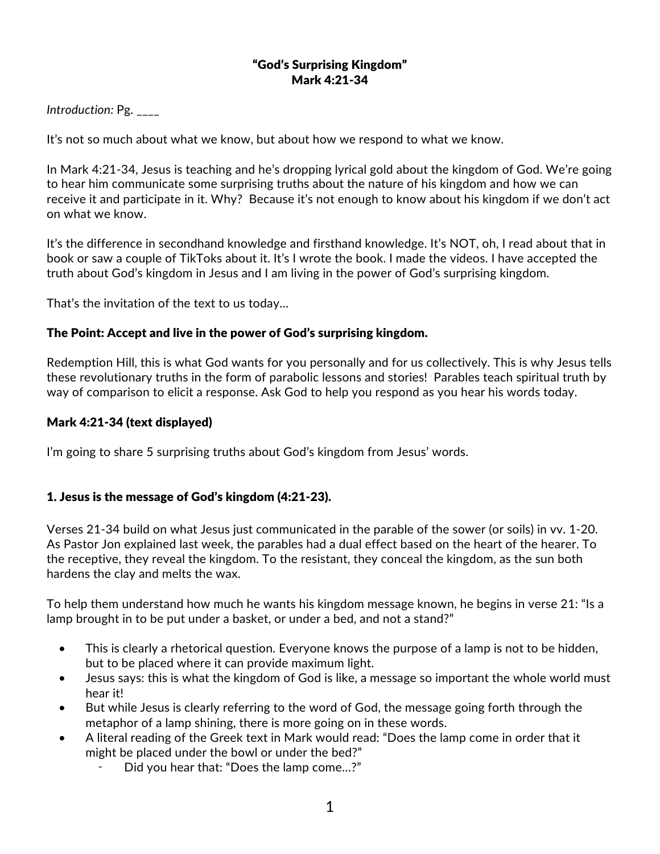#### "God's Surprising Kingdom" Mark 4:21-34

### *Introduction:* Pg. \_\_\_\_

It's not so much about what we know, but about how we respond to what we know.

In Mark 4:21-34, Jesus is teaching and he's dropping lyrical gold about the kingdom of God. We're going to hear him communicate some surprising truths about the nature of his kingdom and how we can receive it and participate in it. Why? Because it's not enough to know about his kingdom if we don't act on what we know.

It's the difference in secondhand knowledge and firsthand knowledge. It's NOT, oh, I read about that in book or saw a couple of TikToks about it. It's I wrote the book. I made the videos. I have accepted the truth about God's kingdom in Jesus and I am living in the power of God's surprising kingdom.

That's the invitation of the text to us today…

### The Point: Accept and live in the power of God's surprising kingdom.

Redemption Hill, this is what God wants for you personally and for us collectively. This is why Jesus tells these revolutionary truths in the form of parabolic lessons and stories! Parables teach spiritual truth by way of comparison to elicit a response. Ask God to help you respond as you hear his words today.

#### Mark 4:21-34 (text displayed)

I'm going to share 5 surprising truths about God's kingdom from Jesus' words.

# 1. Jesus is the message of God's kingdom (4:21-23).

Verses 21-34 build on what Jesus just communicated in the parable of the sower (or soils) in vv. 1-20. As Pastor Jon explained last week, the parables had a dual effect based on the heart of the hearer. To the receptive, they reveal the kingdom. To the resistant, they conceal the kingdom, as the sun both hardens the clay and melts the wax.

To help them understand how much he wants his kingdom message known, he begins in verse 21: "Is a lamp brought in to be put under a basket, or under a bed, and not a stand?"

- This is clearly a rhetorical question. Everyone knows the purpose of a lamp is not to be hidden, but to be placed where it can provide maximum light.
- Jesus says: this is what the kingdom of God is like, a message so important the whole world must hear it!
- But while Jesus is clearly referring to the word of God, the message going forth through the metaphor of a lamp shining, there is more going on in these words.
- A literal reading of the Greek text in Mark would read: "Does the lamp come in order that it might be placed under the bowl or under the bed?"
	- Did you hear that: "Does the lamp come...?"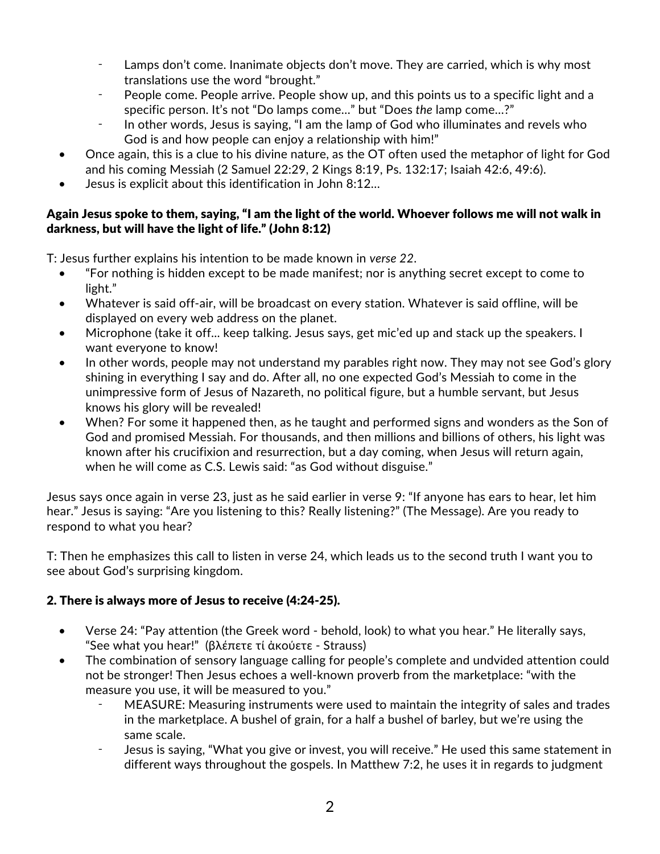- ⁃ Lamps don't come. Inanimate objects don't move. They are carried, which is why most translations use the word "brought."
- ⁃ People come. People arrive. People show up, and this points us to a specific light and a specific person. It's not "Do lamps come…" but "Does *the* lamp come…?"
- ⁃ In other words, Jesus is saying, "I am the lamp of God who illuminates and revels who God is and how people can enjoy a relationship with him!"
- Once again, this is a clue to his divine nature, as the OT often used the metaphor of light for God and his coming Messiah (2 Samuel 22:29, 2 Kings 8:19, Ps. 132:17; Isaiah 42:6, 49:6).
- Jesus is explicit about this identification in John 8:12…

# Again Jesus spoke to them, saying, "I am the light of the world. Whoever follows me will not walk in darkness, but will have the light of life." (John 8:12)

T: Jesus further explains his intention to be made known in *verse 22*.

- "For nothing is hidden except to be made manifest; nor is anything secret except to come to light."
- Whatever is said off-air, will be broadcast on every station. Whatever is said offline, will be displayed on every web address on the planet.
- Microphone (take it off... keep talking. Jesus says, get mic'ed up and stack up the speakers. I want everyone to know!
- In other words, people may not understand my parables right now. They may not see God's glory shining in everything I say and do. After all, no one expected God's Messiah to come in the unimpressive form of Jesus of Nazareth, no political figure, but a humble servant, but Jesus knows his glory will be revealed!
- When? For some it happened then, as he taught and performed signs and wonders as the Son of God and promised Messiah. For thousands, and then millions and billions of others, his light was known after his crucifixion and resurrection, but a day coming, when Jesus will return again, when he will come as C.S. Lewis said: "as God without disguise."

Jesus says once again in verse 23, just as he said earlier in verse 9: "If anyone has ears to hear, let him hear." Jesus is saying: "Are you listening to this? Really listening?" (The Message). Are you ready to respond to what you hear?

T: Then he emphasizes this call to listen in verse 24, which leads us to the second truth I want you to see about God's surprising kingdom.

# 2. There is always more of Jesus to receive (4:24-25).

- Verse 24: "Pay attention (the Greek word behold, look) to what you hear." He literally says, "See what you hear!" (βλέπετε τί ἀκούετε - Strauss)
- The combination of sensory language calling for people's complete and undvided attention could not be stronger! Then Jesus echoes a well-known proverb from the marketplace: "with the measure you use, it will be measured to you."
	- MEASURE: Measuring instruments were used to maintain the integrity of sales and trades in the marketplace. A bushel of grain, for a half a bushel of barley, but we're using the same scale.
	- Jesus is saying, "What you give or invest, you will receive." He used this same statement in different ways throughout the gospels. In Matthew 7:2, he uses it in regards to judgment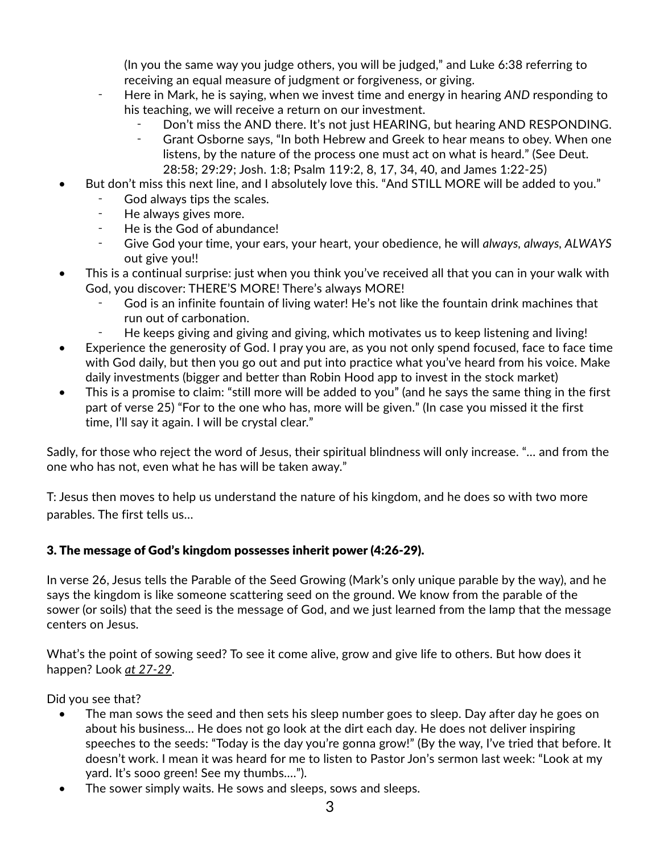(In you the same way you judge others, you will be judged," and Luke 6:38 referring to receiving an equal measure of judgment or forgiveness, or giving.

- Here in Mark, he is saying, when we invest time and energy in hearing *AND* responding to his teaching, we will receive a return on our investment.
	- Don't miss the AND there. It's not just HEARING, but hearing AND RESPONDING.
	- ⁃ Grant Osborne says, "In both Hebrew and Greek to hear means to obey. When one listens, by the nature of the process one must act on what is heard." (See Deut. 28:58; 29:29; Josh. 1:8; Psalm 119:2, 8, 17, 34, 40, and James 1:22-25)
- But don't miss this next line, and I absolutely love this. "And STILL MORE will be added to you."
	- God always tips the scales.
	- ⁃ He always gives more.
	- He is the God of abundance!
	- ⁃ Give God your time, your ears, your heart, your obedience, he will *always, always, ALWAYS* out give you!!
- This is a continual surprise: just when you think you've received all that you can in your walk with God, you discover: THERE'S MORE! There's always MORE!
	- God is an infinite fountain of living water! He's not like the fountain drink machines that run out of carbonation.
	- He keeps giving and giving and giving, which motivates us to keep listening and living!
- Experience the generosity of God. I pray you are, as you not only spend focused, face to face time with God daily, but then you go out and put into practice what you've heard from his voice. Make daily investments (bigger and better than Robin Hood app to invest in the stock market)
- This is a promise to claim: "still more will be added to you" (and he says the same thing in the first part of verse 25) "For to the one who has, more will be given." (In case you missed it the first time, I'll say it again. I will be crystal clear."

Sadly, for those who reject the word of Jesus, their spiritual blindness will only increase. "… and from the one who has not, even what he has will be taken away."

T: Jesus then moves to help us understand the nature of his kingdom, and he does so with two more parables. The first tells us…

# 3. The message of God's kingdom possesses inherit power (4:26-29).

In verse 26, Jesus tells the Parable of the Seed Growing (Mark's only unique parable by the way), and he says the kingdom is like someone scattering seed on the ground. We know from the parable of the sower (or soils) that the seed is the message of God, and we just learned from the lamp that the message centers on Jesus.

What's the point of sowing seed? To see it come alive, grow and give life to others. But how does it happen? Look *at 27-29*.

Did you see that?

- The man sows the seed and then sets his sleep number goes to sleep. Day after day he goes on about his business… He does not go look at the dirt each day. He does not deliver inspiring speeches to the seeds: "Today is the day you're gonna grow!" (By the way, I've tried that before. It doesn't work. I mean it was heard for me to listen to Pastor Jon's sermon last week: "Look at my yard. It's sooo green! See my thumbs….").
- The sower simply waits. He sows and sleeps, sows and sleeps.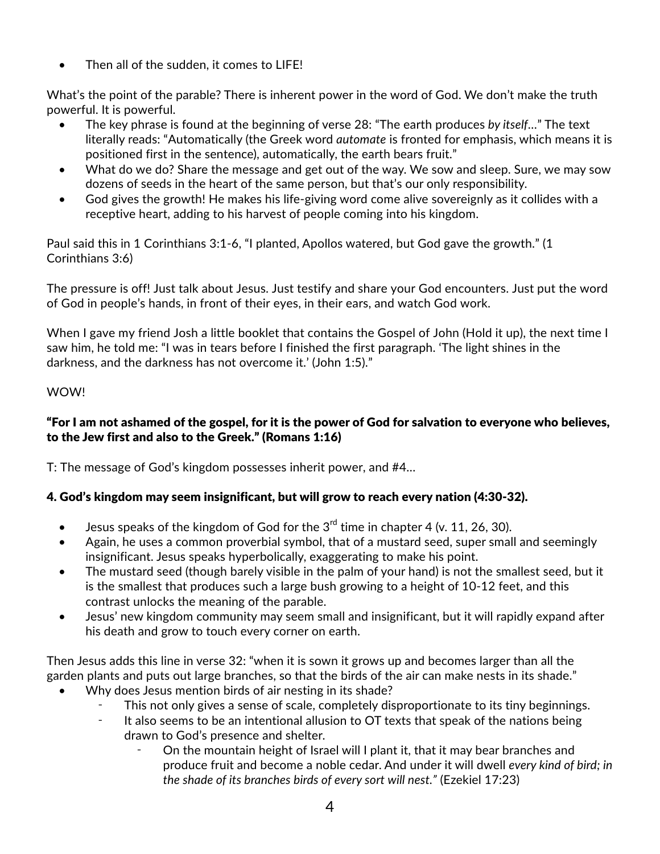Then all of the sudden, it comes to LIFE!

What's the point of the parable? There is inherent power in the word of God. We don't make the truth powerful. It is powerful.

- The key phrase is found at the beginning of verse 28: "The earth produces *by itself*…" The text literally reads: "Automatically (the Greek word *automate* is fronted for emphasis, which means it is positioned first in the sentence), automatically, the earth bears fruit."
- What do we do? Share the message and get out of the way. We sow and sleep. Sure, we may sow dozens of seeds in the heart of the same person, but that's our only responsibility.
- God gives the growth! He makes his life-giving word come alive sovereignly as it collides with a receptive heart, adding to his harvest of people coming into his kingdom.

Paul said this in 1 Corinthians 3:1-6, "I planted, Apollos watered, but God gave the growth." (1 Corinthians 3:6)

The pressure is off! Just talk about Jesus. Just testify and share your God encounters. Just put the word of God in people's hands, in front of their eyes, in their ears, and watch God work.

When I gave my friend Josh a little booklet that contains the Gospel of John (Hold it up), the next time I saw him, he told me: "I was in tears before I finished the first paragraph. 'The light shines in the darkness, and the darkness has not overcome it.' (John 1:5)."

### WOW!

### "For I am not ashamed of the gospel, for it is the power of God for salvation to everyone who believes, to the Jew first and also to the Greek." (Romans 1:16)

T: The message of God's kingdom possesses inherit power, and #4…

# 4. God's kingdom may seem insignificant, but will grow to reach every nation (4:30-32).

- Jesus speaks of the kingdom of God for the  $3^{rd}$  time in chapter 4 (v. 11, 26, 30).
- Again, he uses a common proverbial symbol, that of a mustard seed, super small and seemingly insignificant. Jesus speaks hyperbolically, exaggerating to make his point.
- The mustard seed (though barely visible in the palm of your hand) is not the smallest seed, but it is the smallest that produces such a large bush growing to a height of 10-12 feet, and this contrast unlocks the meaning of the parable.
- Jesus' new kingdom community may seem small and insignificant, but it will rapidly expand after his death and grow to touch every corner on earth.

Then Jesus adds this line in verse 32: "when it is sown it grows up and becomes larger than all the garden plants and puts out large branches, so that the birds of the air can make nests in its shade."

- Why does Jesus mention birds of air nesting in its shade?
	- This not only gives a sense of scale, completely disproportionate to its tiny beginnings.
	- ⁃ It also seems to be an intentional allusion to OT texts that speak of the nations being drawn to God's presence and shelter.
		- On the mountain height of Israel will I plant it, that it may bear branches and produce fruit and become a noble cedar. And under it will dwell *every kind of bird; in the shade of its branches birds of every sort will nest."* (Ezekiel 17:23)